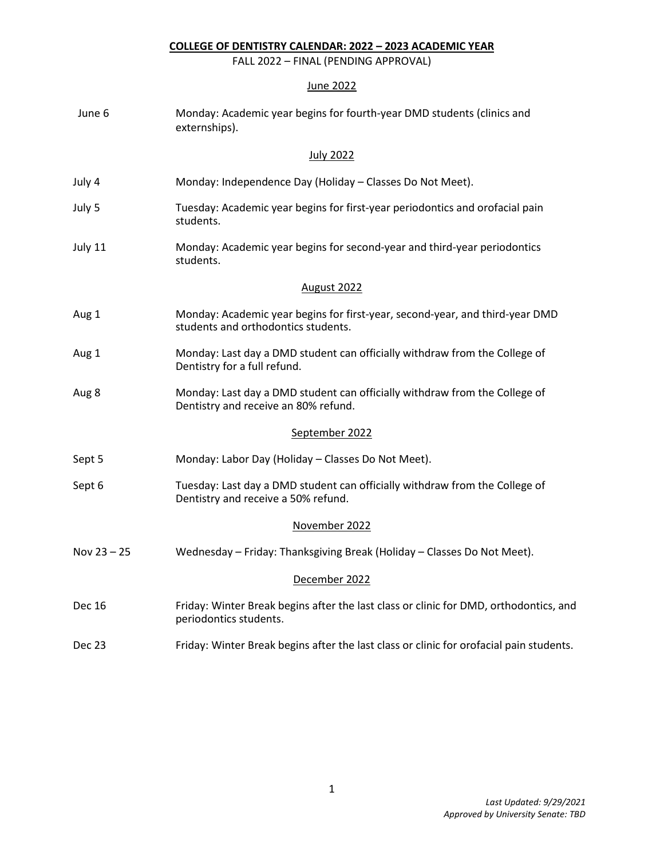## **COLLEGE OF DENTISTRY CALENDAR: 2022 – 2023 ACADEMIC YEAR**

FALL 2022 – FINAL (PENDING APPROVAL)

## June 2022

| June 6        | Monday: Academic year begins for fourth-year DMD students (clinics and<br>externships).                             |
|---------------|---------------------------------------------------------------------------------------------------------------------|
|               | <b>July 2022</b>                                                                                                    |
| July 4        | Monday: Independence Day (Holiday - Classes Do Not Meet).                                                           |
| July 5        | Tuesday: Academic year begins for first-year periodontics and orofacial pain<br>students.                           |
| July 11       | Monday: Academic year begins for second-year and third-year periodontics<br>students.                               |
|               | <b>August 2022</b>                                                                                                  |
| Aug 1         | Monday: Academic year begins for first-year, second-year, and third-year DMD<br>students and orthodontics students. |
| Aug 1         | Monday: Last day a DMD student can officially withdraw from the College of<br>Dentistry for a full refund.          |
| Aug 8         | Monday: Last day a DMD student can officially withdraw from the College of<br>Dentistry and receive an 80% refund.  |
|               | September 2022                                                                                                      |
| Sept 5        | Monday: Labor Day (Holiday - Classes Do Not Meet).                                                                  |
| Sept 6        | Tuesday: Last day a DMD student can officially withdraw from the College of<br>Dentistry and receive a 50% refund.  |
|               | November 2022                                                                                                       |
| Nov $23 - 25$ | Wednesday - Friday: Thanksgiving Break (Holiday - Classes Do Not Meet).                                             |
|               | December 2022                                                                                                       |
| <b>Dec 16</b> | Friday: Winter Break begins after the last class or clinic for DMD, orthodontics, and<br>periodontics students.     |
| Dec 23        | Friday: Winter Break begins after the last class or clinic for orofacial pain students.                             |